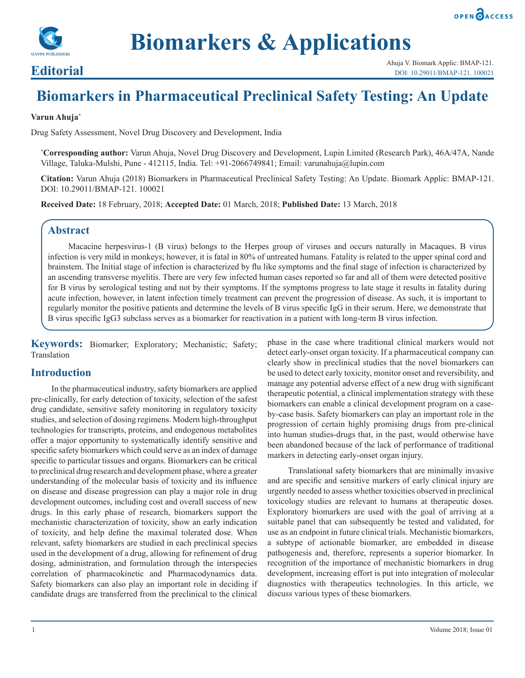



# **Biomarkers & Applications**

## **Biomarkers in Pharmaceutical Preclinical Safety Testing: An Update**

#### **Varun Ahuja\***

Drug Safety Assessment, Novel Drug Discovery and Development, India

**\* Corresponding author:** Varun Ahuja, Novel Drug Discovery and Development, Lupin Limited (Research Park), 46A/47A, Nande Village, Taluka-Mulshi, Pune - 412115, India. Tel: +91-2066749841; Email: varunahuja@lupin.com

**Citation:** Varun Ahuja (2018) Biomarkers in Pharmaceutical Preclinical Safety Testing: An Update. Biomark Applic: BMAP-121. DOI: 10.29011/BMAP-121. 100021

**Received Date:** 18 February, 2018; **Accepted Date:** 01 March, 2018; **Published Date:** 13 March, 2018

### **Abstract**

Macacine herpesvirus-1 (B virus) belongs to the Herpes group of viruses and occurs naturally in Macaques. B virus infection is very mild in monkeys; however, it is fatal in 80% of untreated humans. Fatality is related to the upper spinal cord and brainstem. The Initial stage of infection is characterized by flu like symptoms and the final stage of infection is characterized by an ascending transverse myelitis. There are very few infected human cases reported so far and all of them were detected positive for B virus by serological testing and not by their symptoms. If the symptoms progress to late stage it results in fatality during acute infection, however, in latent infection timely treatment can prevent the progression of disease. As such, it is important to regularly monitor the positive patients and determine the levels of B virus specific IgG in their serum. Here, we demonstrate that B virus specific IgG3 subclass serves as a biomarker for reactivation in a patient with long-term B virus infection.

**Keywords:** Biomarker; Exploratory; Mechanistic; Safety; Translation

### **Introduction**

In the pharmaceutical industry, safety biomarkers are applied pre-clinically, for early detection of toxicity, selection of the safest drug candidate, sensitive safety monitoring in regulatory toxicity studies, and selection of dosing regimens. Modern high-throughput technologies for transcripts, proteins, and endogenous metabolites offer a major opportunity to systematically identify sensitive and specific safety biomarkers which could serve as an index of damage specific to particular tissues and organs. Biomarkers can be critical to preclinical drug research and development phase, where a greater understanding of the molecular basis of toxicity and its influence on disease and disease progression can play a major role in drug development outcomes, including cost and overall success of new drugs. In this early phase of research, biomarkers support the mechanistic characterization of toxicity, show an early indication of toxicity, and help define the maximal tolerated dose. When relevant, safety biomarkers are studied in each preclinical species used in the development of a drug, allowing for refinement of drug dosing, administration, and formulation through the interspecies correlation of pharmacokinetic and Pharmacodynamics data. Safety biomarkers can also play an important role in deciding if candidate drugs are transferred from the preclinical to the clinical

phase in the case where traditional clinical markers would not detect early-onset organ toxicity. If a pharmaceutical company can clearly show in preclinical studies that the novel biomarkers can be used to detect early toxicity, monitor onset and reversibility, and manage any potential adverse effect of a new drug with significant therapeutic potential, a clinical implementation strategy with these biomarkers can enable a clinical development program on a caseby-case basis. Safety biomarkers can play an important role in the progression of certain highly promising drugs from pre-clinical into human studies-drugs that, in the past, would otherwise have been abandoned because of the lack of performance of traditional markers in detecting early-onset organ injury.

Translational safety biomarkers that are minimally invasive and are specific and sensitive markers of early clinical injury are urgently needed to assess whether toxicities observed in preclinical toxicology studies are relevant to humans at therapeutic doses. Exploratory biomarkers are used with the goal of arriving at a suitable panel that can subsequently be tested and validated, for use as an endpoint in future clinical trials. Mechanistic biomarkers, a subtype of actionable biomarker, are embedded in disease pathogenesis and, therefore, represents a superior biomarker. In recognition of the importance of mechanistic biomarkers in drug development, increasing effort is put into integration of molecular diagnostics with therapeutics technologies. In this article, we discuss various types of these biomarkers.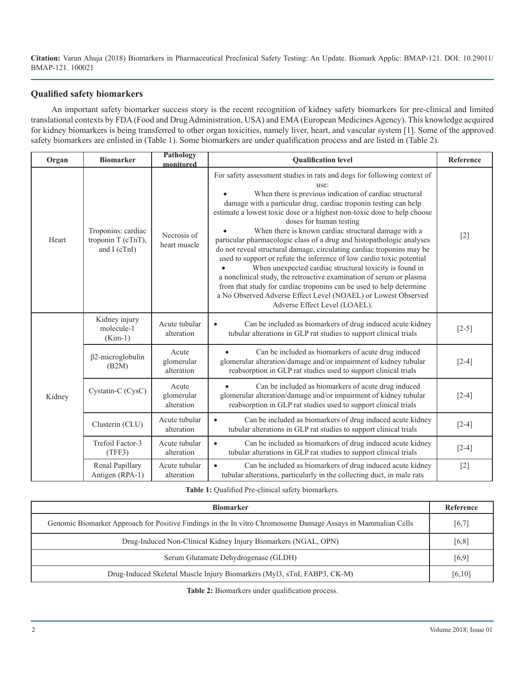#### **Qualified safety biomarkers**

An important safety biomarker success story is the recent recognition of kidney safety biomarkers for pre-clinical and limited translational contexts by FDA (Food and Drug Administration, USA) and EMA (European Medicines Agency). This knowledge acquired for kidney biomarkers is being transferred to other organ toxicities, namely liver, heart, and vascular system [1]. Some of the approved safety biomarkers are enlisted in (Table 1). Some biomarkers are under qualification process and are listed in (Table 2).

| Organ  | <b>Biomarker</b>                                          | Pathology<br>monitored            | <b>Qualification level</b>                                                                                                                                                                                                                                                                                                                                                                                                                                                                                                                                                                                                                                                                                                                                                                                                                                                                                         | Reference             |
|--------|-----------------------------------------------------------|-----------------------------------|--------------------------------------------------------------------------------------------------------------------------------------------------------------------------------------------------------------------------------------------------------------------------------------------------------------------------------------------------------------------------------------------------------------------------------------------------------------------------------------------------------------------------------------------------------------------------------------------------------------------------------------------------------------------------------------------------------------------------------------------------------------------------------------------------------------------------------------------------------------------------------------------------------------------|-----------------------|
| Heart  | Troponins: cardiac<br>troponin T (cTnT),<br>and $I(cTnI)$ | Necrosis of<br>heart muscle       | For safety assessment studies in rats and dogs for following context of<br>use:<br>When there is previous indication of cardiac structural<br>damage with a particular drug, cardiac troponin testing can help<br>estimate a lowest toxic dose or a highest non-toxic dose to help choose<br>doses for human testing<br>When there is known cardiac structural damage with a<br>particular pharmacologic class of a drug and histopathologic analyses<br>do not reveal structural damage, circulating cardiac troponins may be<br>used to support or refute the inference of low cardio toxic potential<br>When unexpected cardiac structural toxicity is found in<br>a nonclinical study, the retroactive examination of serum or plasma<br>from that study for cardiac troponins can be used to help determine<br>a No Observed Adverse Effect Level (NOAEL) or Lowest Observed<br>Adverse Effect Level (LOAEL). | $[2]$                 |
| Kidney | Kidney injury<br>molecule-1<br>$(Kim-1)$                  | Acute tubular<br>alteration       | Can be included as biomarkers of drug induced acute kidney<br>$\bullet$<br>tubular alterations in GLP rat studies to support clinical trials                                                                                                                                                                                                                                                                                                                                                                                                                                                                                                                                                                                                                                                                                                                                                                       | $[2-5]$               |
|        | $\beta$ 2-microglobulin<br>(B2M)                          | Acute<br>glomerular<br>alteration | Can be included as biomarkers of acute drug induced<br>glomerular alteration/damage and/or impairment of kidney tubular<br>reabsorption in GLP rat studies used to support clinical trials                                                                                                                                                                                                                                                                                                                                                                                                                                                                                                                                                                                                                                                                                                                         | $\lceil 2 - 4 \rceil$ |
|        | Cystatin-C (CysC)                                         | Acute<br>glomerular<br>alteration | Can be included as biomarkers of acute drug induced<br>glomerular alteration/damage and/or impairment of kidney tubular<br>reabsorption in GLP rat studies used to support clinical trials                                                                                                                                                                                                                                                                                                                                                                                                                                                                                                                                                                                                                                                                                                                         | $\lceil 2 - 4 \rceil$ |
|        | Clusterin (CLU)                                           | Acute tubular<br>alteration       | Can be included as biomarkers of drug induced acute kidney<br>$\bullet$<br>tubular alterations in GLP rat studies to support clinical trials                                                                                                                                                                                                                                                                                                                                                                                                                                                                                                                                                                                                                                                                                                                                                                       | $[2-4]$               |
|        | Trefoil Factor-3<br>(TFF3)                                | Acute tubular<br>alteration       | Can be included as biomarkers of drug induced acute kidney<br>$\bullet$<br>tubular alterations in GLP rat studies to support clinical trials                                                                                                                                                                                                                                                                                                                                                                                                                                                                                                                                                                                                                                                                                                                                                                       | $[2-4]$               |
|        | Renal Papillary<br>Antigen (RPA-1)                        | Acute tubular<br>alteration       | Can be included as biomarkers of drug induced acute kidney<br>tubular alterations, particularly in the collecting duct, in male rats                                                                                                                                                                                                                                                                                                                                                                                                                                                                                                                                                                                                                                                                                                                                                                               | $[2]$                 |

#### **Table 1:** Qualified Pre-clinical safety biomarkers.

| <b>Biomarker</b>                                                                                            |         |  |  |  |
|-------------------------------------------------------------------------------------------------------------|---------|--|--|--|
| Genomic Biomarker Approach for Positive Findings in the Invitro Chromosome Damage Assays in Mammalian Cells |         |  |  |  |
| Drug-Induced Non-Clinical Kidney Injury Biomarkers (NGAL, OPN)                                              |         |  |  |  |
| Serum Glutamate Dehydrogenase (GLDH)                                                                        |         |  |  |  |
| Drug-Induced Skeletal Muscle Injury Biomarkers (Myl3, sTnI, FABP3, CK-M)                                    | [6, 10] |  |  |  |

**Table 2:** Biomarkers under qualification process.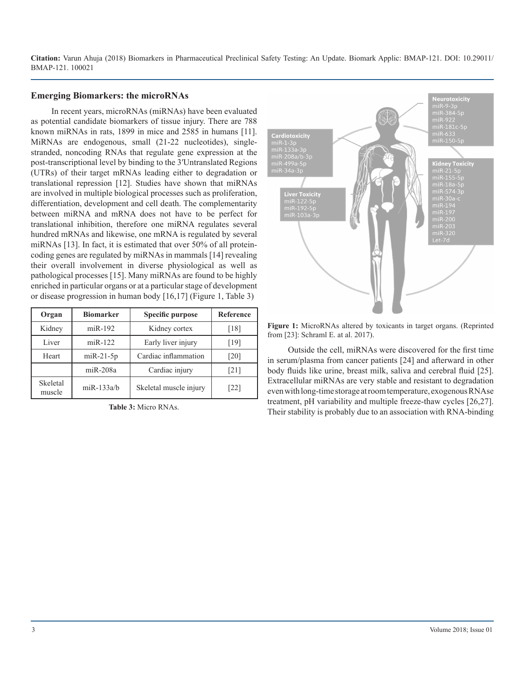#### **Emerging Biomarkers: the microRNAs**

In recent years, microRNAs (miRNAs) have been evaluated as potential candidate biomarkers of tissue injury. There are 788 known miRNAs in rats, 1899 in mice and 2585 in humans [11]. MiRNAs are endogenous, small (21-22 nucleotides), singlestranded, noncoding RNAs that regulate gene expression at the post-transcriptional level by binding to the 3′Untranslated Regions (UTRs) of their target mRNAs leading either to degradation or translational repression [12]. Studies have shown that miRNAs are involved in multiple biological processes such as proliferation, differentiation, development and cell death. The complementarity between miRNA and mRNA does not have to be perfect for translational inhibition, therefore one miRNA regulates several hundred mRNAs and likewise, one mRNA is regulated by several miRNAs [13]. In fact, it is estimated that over 50% of all proteincoding genes are regulated by miRNAs in mammals [14] revealing their overall involvement in diverse physiological as well as pathological processes [15]. Many miRNAs are found to be highly enriched in particular organs or at a particular stage of development or disease progression in human body [16,17] (Figure 1, Table 3)

| Organ              | <b>Biomarker</b> | Specific purpose       | Reference          |
|--------------------|------------------|------------------------|--------------------|
| Kidney             | $miR-192$        | Kidney cortex          | [18]               |
| Liver              | $miR-122$        | Early liver injury     | [19]               |
| Heart              | $miR-21-5p$      | Cardiac inflammation   | [20]               |
|                    | $miR-208a$       | Cardiac injury         | $\lceil 21 \rceil$ |
| Skeletal<br>muscle | $m$ iR-133a/b    | Skeletal muscle injury | [22]               |

**Table 3:** Micro RNAs.



**Figure 1:** MicroRNAs altered by toxicants in target organs. (Reprinted from [23]: Schraml E. at al. 2017).

Outside the cell, miRNAs were discovered for the first time in serum/plasma from cancer patients [24] and afterward in other body fluids like urine, breast milk, saliva and cerebral fluid [25]. Extracellular miRNAs are very stable and resistant to degradation even with long-time storage at room temperature, exogenous RNAse treatment, pH variability and multiple freeze-thaw cycles [26,27]. Their stability is probably due to an association with RNA-binding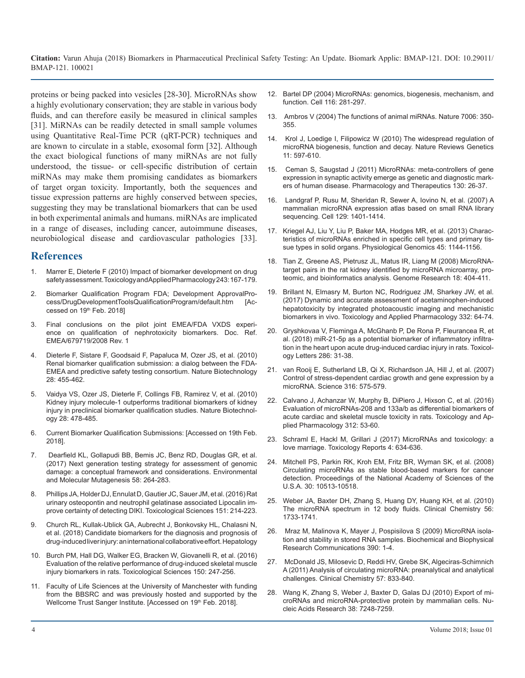proteins or being packed into vesicles [28-30]. MicroRNAs show a highly evolutionary conservation; they are stable in various body fluids, and can therefore easily be measured in clinical samples [31]. MiRNAs can be readily detected in small sample volumes using Quantitative Real-Time PCR (qRT-PCR) techniques and are known to circulate in a stable, exosomal form [32]. Although the exact biological functions of many miRNAs are not fully understood, the tissue- or cell-specific distribution of certain miRNAs may make them promising candidates as biomarkers of target organ toxicity. Importantly, both the sequences and tissue expression patterns are highly conserved between species, suggesting they may be translational biomarkers that can be used in both experimental animals and humans. miRNAs are implicated in a range of diseases, including cancer, autoimmune diseases, neurobiological disease and cardiovascular pathologies [33].

#### **References**

- 1. [Marrer E, Dieterle F \(2010\) Impact of biomarker development on drug](https://www.sciencedirect.com/science/article/pii/S0041008X09005225)  safety assessment. Toxicology and Applied Pharmacology 243: 167-179.
- 2. [Biomarker Qualification Program FDA; Development ApprovalPro](https://www.fda.gov/Drugs/)cess/DrugDevelopmentToolsQualificationProgram/default.htm [Ac[cessed on 19th Feb. 2018\]](https://www.fda.gov/Drugs/)
- 3. [Final conclusions on the pilot joint EMEA/FDA VXDS experi](http://www.ema.europa.eu/docs/en_GB/document_library/Regulatory_and_procedural_guideline/2009/10/WC500004205.pdf)ence on qualification of nephrotoxicity biomarkers. Doc. Ref. [EMEA/679719/2008 Rev.](http://www.ema.europa.eu/docs/en_GB/document_library/Regulatory_and_procedural_guideline/2009/10/WC500004205.pdf) 1
- 4. [Dieterle F, Sistare F, Goodsaid F, Papaluca M, Ozer JS, et al. \(2010\)](https://www.ncbi.nlm.nih.gov/pubmed/20458315)  Renal biomarker qualification submission: a dialog between the FDA-[EMEA and predictive safety testing consortium. Nature Biotechnology](https://www.ncbi.nlm.nih.gov/pubmed/20458315)  [28: 455-462.](https://www.ncbi.nlm.nih.gov/pubmed/20458315)
- 5. [Vaidya VS, Ozer JS, Dieterle F, Collings FB, Ramirez V, et al. \(2010\)](https://www.ncbi.nlm.nih.gov/pubmed/20458318)  Kidney injury molecule-1 outperforms traditional biomarkers of kidney [injury in preclinical biomarker qualification studies. Nature Biotechnol](https://www.ncbi.nlm.nih.gov/pubmed/20458318)ogy [28: 478-485.](https://www.ncbi.nlm.nih.gov/pubmed/20458318)
- 6. [Current Biomarker Qualification Submissions: \[Accessed on 19th Feb.](https://www.fda.gov/Drugs/Development ApprovalProcess/DrugDevelopmentToolsQualificationProgram/BiomarkerQualificationProgram/ucm535881.htm)  2018].
- 7. [Dearfield KL, Gollapudi BB, Bemis JC, Benz RD, Douglas GR, et al.](https://www.ncbi.nlm.nih.gov/pubmed/27650663)  [\(2017\) Next generation testing strategy for assessment of genomic](https://www.ncbi.nlm.nih.gov/pubmed/27650663)  [damage: a conceptual framework and considerations. Environmental](https://www.ncbi.nlm.nih.gov/pubmed/27650663)  [and Molecular Mutagenesis 58: 264-283.](https://www.ncbi.nlm.nih.gov/pubmed/27650663)
- 8. [Phillips JA, Holder DJ, Ennulat D, Gautier JC, Sauer JM, et al. \(2016\) Rat](https://www.ncbi.nlm.nih.gov/pubmed/27026710)  urinary osteopontin and neutrophil gelatinase associated Lipocalin im[prove certainty of detecting DIKI. Toxicological Sciences 151: 214-223.](https://www.ncbi.nlm.nih.gov/pubmed/27026710)
- 9. [Church RL, Kullak-Ublick GA, Aubrecht J, Bonkovsky HL, Chalasni N,](https://www.ncbi.nlm.nih.gov/pubmed/29357190)  et al. (2018) Candidate biomarkers for the diagnosis and prognosis of [drug-induced liver injury: an international collaborative effort. Hepatology](https://www.ncbi.nlm.nih.gov/pubmed/29357190)
- 10. [Burch PM, Hall DG, Walker EG, Bracken W, Giovanelli R, et al. \(2016\)](https://www.ncbi.nlm.nih.gov/pubmed/26721300)  Evaluation of the relative performance of drug-induced skeletal muscle [injury biomarkers in rats. Toxicological Sciences 150: 247-256.](https://www.ncbi.nlm.nih.gov/pubmed/26721300)
- 11. [Faculty of Life Sciences at the University of Manchester with funding](http://mirbase.org/)  from the BBSRC and was previously hosted and supported by the [Wellcome Trust Sanger Institute. \[Accessed on 19](http://mirbase.org/)th Feb. 2018].
- 12. [Bartel DP \(2004\) MicroRNAs: genomics, biogenesis, mechanism, and](https://www.ncbi.nlm.nih.gov/pubmed/14744438)  function. Cell 116: 281-297.
- 13. [Ambros V \(2004\) The functions of animal miRNAs. Nature 7006: 350-](https://www.ncbi.nlm.nih.gov/pubmed/15372042) [355.](https://www.ncbi.nlm.nih.gov/pubmed/15372042)
- 14. [Krol J, Loedige I, Filipowicz W \(2010\) The widespread regulation of](https://www.ncbi.nlm.nih.gov/pubmed/20661255)  [microRNA biogenesis, function and decay. Nature Reviews Genetics](https://www.ncbi.nlm.nih.gov/pubmed/20661255)  [11: 597-610.](https://www.ncbi.nlm.nih.gov/pubmed/20661255)
- 15. [Ceman S, Saugstad J \(2011\) MicroRNAs: meta-controllers of gene](https://www.ncbi.nlm.nih.gov/pubmed/21256154)  [expression in synaptic activity emerge as genetic and diagnostic mark](https://www.ncbi.nlm.nih.gov/pubmed/21256154)[ers of human disease. Pharmacology and Therapeutics 130: 26-37.](https://www.ncbi.nlm.nih.gov/pubmed/21256154)
- 16. [Landgraf P, Rusu M, Sheridan R, Sewer A, Iovino N, et al. \(2007\) A](https://www.ncbi.nlm.nih.gov/pubmed/17604727)  [mammalian microRNA expression atlas based on small RNA library](https://www.ncbi.nlm.nih.gov/pubmed/17604727)  [sequencing. Cell 129: 1401-1414.](https://www.ncbi.nlm.nih.gov/pubmed/17604727)
- 17. [Kriegel AJ, Liu Y, Liu P, Baker MA, Hodges MR, et al. \(2013\) Charac](https://www.ncbi.nlm.nih.gov/pmc/articles/PMC3882707/)teristics of microRNAs enriched in specific cell types and primary tis[sue types in solid organs. Physiological Genomics 45: 1144-1156.](https://www.ncbi.nlm.nih.gov/pmc/articles/PMC3882707/)
- 18. [Tian Z, Greene AS, Pietrusz JL, Matus IR, Liang M \(2008\) MicroRNA](https://www.ncbi.nlm.nih.gov/pmc/articles/PMC2259104/)target pairs in the rat kidney identified by microRNA microarray, pro[teomic, and bioinformatics analysis. Genome Research 18: 404-411](https://www.ncbi.nlm.nih.gov/pmc/articles/PMC2259104/).
- 19. [Brillant N, Elmasry M, Burton NC, Rodriguez JM, Sharkey JW, et al.](https://www.ncbi.nlm.nih.gov/pubmed/28755860)  [\(2017\) Dynamic and accurate assessment of acetaminophen-induced](https://www.fda.gov/Drugs/) [hepatotoxicity by integrated photoacoustic imaging and mechanistic](https://www.ncbi.nlm.nih.gov/pubmed/28755860)  [biomarkers in vivo. Toxicology and Applied Pharmacology 332: 64-74.](https://www.ncbi.nlm.nih.gov/pubmed/28755860)
- 20. [Gryshkovaa V, Fleminga A, McGhanb P, De Rona P, Fleurancea R, et](https://www.ncbi.nlm.nih.gov/pubmed/29355689) al. (2018) miR-21-5p as a potential biomarker of inflammatory infiltra[tion in the heart upon acute drug-induced cardiac injury in rats. Toxicol](https://www.ncbi.nlm.nih.gov/pubmed/29355689)[ogy Letters 286: 31-38](https://www.ncbi.nlm.nih.gov/pubmed/29355689).
- 21. [van Rooij E, Sutherland LB, Qi X, Richardson JA, Hill J, et al. \(2007\)](https://www.ncbi.nlm.nih.gov/pubmed/17379774) Control of stress-dependent cardiac growth and gene expression by a [microRNA. Science 316: 575-579](https://www.ncbi.nlm.nih.gov/pubmed/17379774).
- 22. [Calvano J, Achanzar W, Murphy B, DiPiero J, Hixson C, et al. \(2016\)](https://www.ncbi.nlm.nih.gov/pubmed/26627004) Evaluation of microRNAs-208 and 133a/b as differential biomarkers of [acute cardiac and skeletal muscle toxicity in rats. Toxicology and Ap](https://www.ncbi.nlm.nih.gov/pubmed/26627004)[plied Pharmacology 312: 53-60.](https://www.ncbi.nlm.nih.gov/pubmed/26627004)
- 23. [Schraml E, Hackl M, Grillari J \(2017\) MicroRNAs and toxicology: a](https://www.fda.gov/Drugs/Development ApprovalProcess/DrugDevelopmentToolsQualificationProgram/BiomarkerQualificationProgram/ucm535881.htm)  love marriage. Toxicology Reports 4: 634-636[.](https://www.ncbi.nlm.nih.gov/pubmed/29214146)
- 24. [Mitchell PS, Parkin RK, Kroh EM, Fritz BR, Wyman SK, et al. \(2008\)](https://www.ncbi.nlm.nih.gov/pubmed/18663219)  Circulating microRNAs as stable blood-based markers for cancer [detection. Proceedings of the National Academy of Sciences of the](https://www.ncbi.nlm.nih.gov/pubmed/18663219)  [U.S.A. 30: 10513-10518](https://www.ncbi.nlm.nih.gov/pubmed/18663219).
- 25. [Weber JA, Baxter DH, Zhang S, Huang DY, Huang KH, et al. \(2010\)](https://www.ncbi.nlm.nih.gov/pubmed/20847327) The microRNA spectrum in 12 body fluids. Clinical Chemistry 56: [1733-1741.](https://www.ncbi.nlm.nih.gov/pubmed/20847327)
- 26. [Mraz M, Malinova K, Mayer J, Pospisilova S \(2009\) MicroRNA isola](https://www.ncbi.nlm.nih.gov/pubmed/19769940)[tion and stability in stored RNA samples. Biochemical and Biophysical](https://www.ncbi.nlm.nih.gov/pubmed/19769940)  [Research Communications 390: 1-4](https://www.ncbi.nlm.nih.gov/pubmed/19769940).
- 27. [McDonald JS, Milosevic D, Reddi HV, Grebe SK, Algeciras-Schimnich](https://www.ncbi.nlm.nih.gov/pubmed/26721300)  [A \(2011\) Analysis of circulating microRNA: preanalytical and analytical](https://www.ncbi.nlm.nih.gov/pubmed/21487102)  [challenges. Clinical Chemistry 57: 833-840.](https://www.ncbi.nlm.nih.gov/pubmed/21487102)
- 28. [Wang K, Zhang S, Weber J, Baxter D, Galas DJ \(2010\) Export of mi](http://mirbase.org/)croRNAs and microRNA-protective protein by mammalian cells. Nu[cleic Acids Research 38: 7248-7259](https://www.ncbi.nlm.nih.gov/pubmed/20615901).